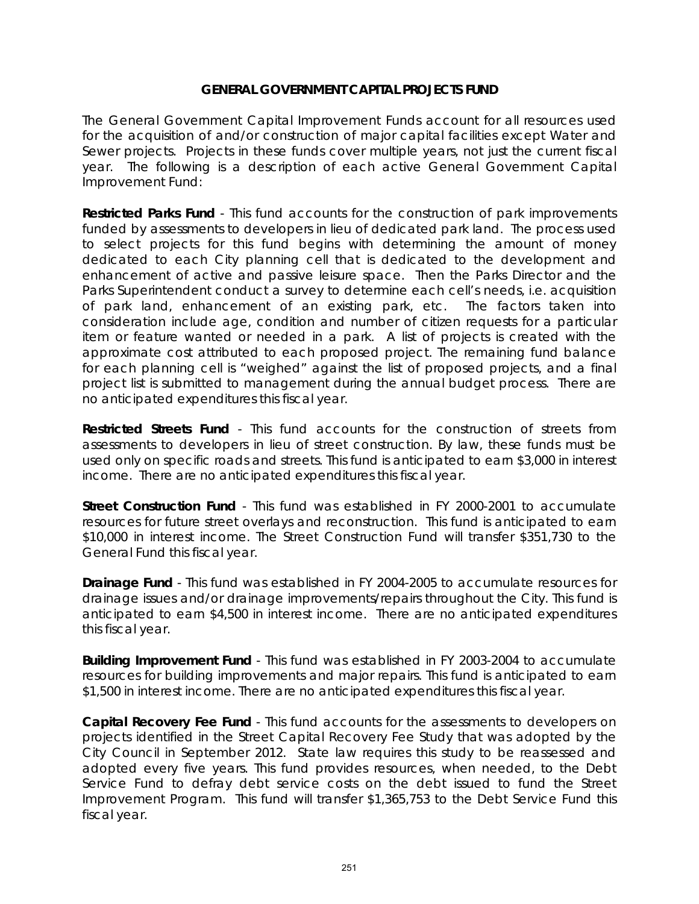The General Government Capital Improvement Funds account for all resources used for the acquisition of and/or construction of major capital facilities except Water and Sewer projects. Projects in these funds cover multiple years, not just the current fiscal year. The following is a description of each active General Government Capital Improvement Fund:

**Restricted Parks Fund** - This fund accounts for the construction of park improvements funded by assessments to developers in lieu of dedicated park land. The process used to select projects for this fund begins with determining the amount of money dedicated to each City planning cell that is dedicated to the development and enhancement of active and passive leisure space. Then the Parks Director and the Parks Superintendent conduct a survey to determine each cell's needs, i.e. acquisition of park land, enhancement of an existing park, etc. The factors taken into consideration include age, condition and number of citizen requests for a particular item or feature wanted or needed in a park. A list of projects is created with the approximate cost attributed to each proposed project. The remaining fund balance for each planning cell is "weighed" against the list of proposed projects, and a final project list is submitted to management during the annual budget process. There are no anticipated expenditures this fiscal year.

**Restricted Streets Fund** - This fund accounts for the construction of streets from assessments to developers in lieu of street construction. By law, these funds must be used only on specific roads and streets. This fund is anticipated to earn \$3,000 in interest income. There are no anticipated expenditures this fiscal year.

**Street Construction Fund** - This fund was established in FY 2000-2001 to accumulate resources for future street overlays and reconstruction. This fund is anticipated to earn \$10,000 in interest income. The Street Construction Fund will transfer \$351,730 to the General Fund this fiscal year.

**Drainage Fund** - This fund was established in FY 2004-2005 to accumulate resources for drainage issues and/or drainage improvements/repairs throughout the City. This fund is anticipated to earn \$4,500 in interest income. There are no anticipated expenditures this fiscal year.

**Building Improvement Fund** - This fund was established in FY 2003-2004 to accumulate resources for building improvements and major repairs. This fund is anticipated to earn \$1,500 in interest income. There are no anticipated expenditures this fiscal year.

**Capital Recovery Fee Fund** - This fund accounts for the assessments to developers on projects identified in the Street Capital Recovery Fee Study that was adopted by the City Council in September 2012. State law requires this study to be reassessed and adopted every five years. This fund provides resources, when needed, to the Debt Service Fund to defray debt service costs on the debt issued to fund the Street Improvement Program. This fund will transfer \$1,365,753 to the Debt Service Fund this fiscal year.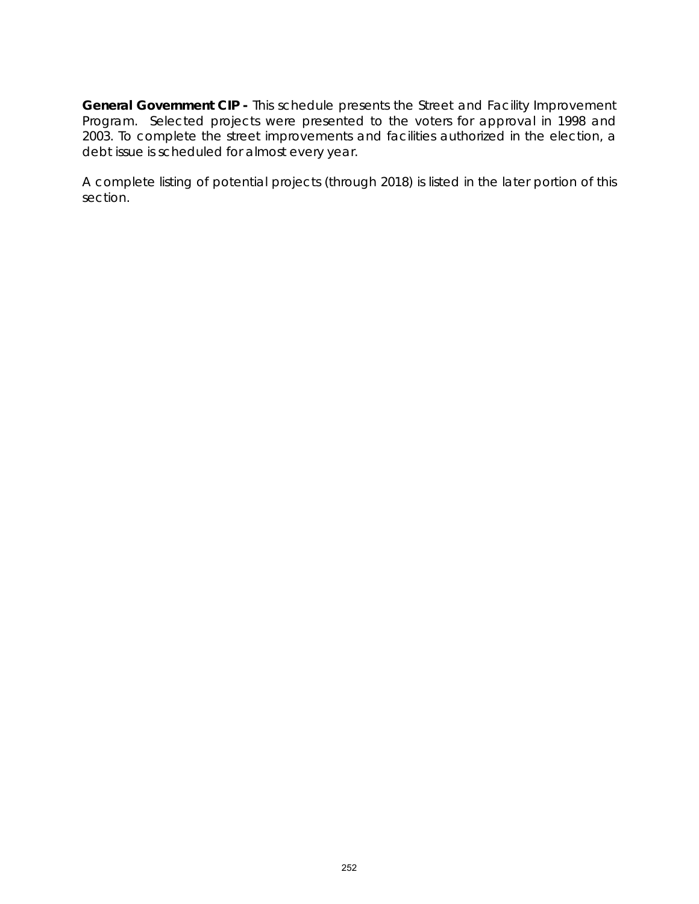**General Government CIP -** This schedule presents the Street and Facility Improvement Program. Selected projects were presented to the voters for approval in 1998 and 2003. To complete the street improvements and facilities authorized in the election, a debt issue is scheduled for almost every year.

A complete listing of potential projects (through 2018) is listed in the later portion of this section.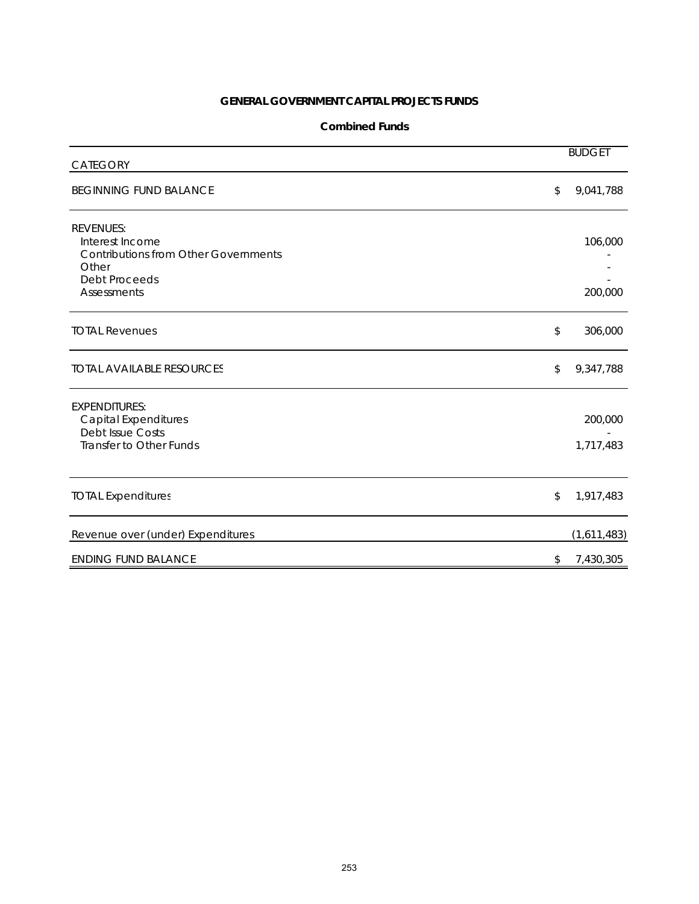#### **Combined Funds**

| <b>CATEGORY</b>                                                                                                                    | <b>BUDGET</b>        |
|------------------------------------------------------------------------------------------------------------------------------------|----------------------|
| <b>BEGINNING FUND BALANCE</b>                                                                                                      | \$<br>9,041,788      |
| <b>REVENUES:</b><br>Interest Income<br><b>Contributions from Other Governments</b><br>Other<br><b>Debt Proceeds</b><br>Assessments | 106,000<br>200,000   |
| <b>TOTAL Revenues</b>                                                                                                              | \$<br>306,000        |
| <b>TOTAL AVAILABLE RESOURCES</b>                                                                                                   | \$<br>9,347,788      |
| <b>EXPENDITURES:</b><br><b>Capital Expenditures</b><br><b>Debt Issue Costs</b><br>Transfer to Other Funds                          | 200,000<br>1,717,483 |
| <b>TOTAL Expenditures</b>                                                                                                          | \$<br>1,917,483      |
| Revenue over (under) Expenditures                                                                                                  | (1,611,483)          |
| <b>ENDING FUND BALANCE</b>                                                                                                         | \$<br>7,430,305      |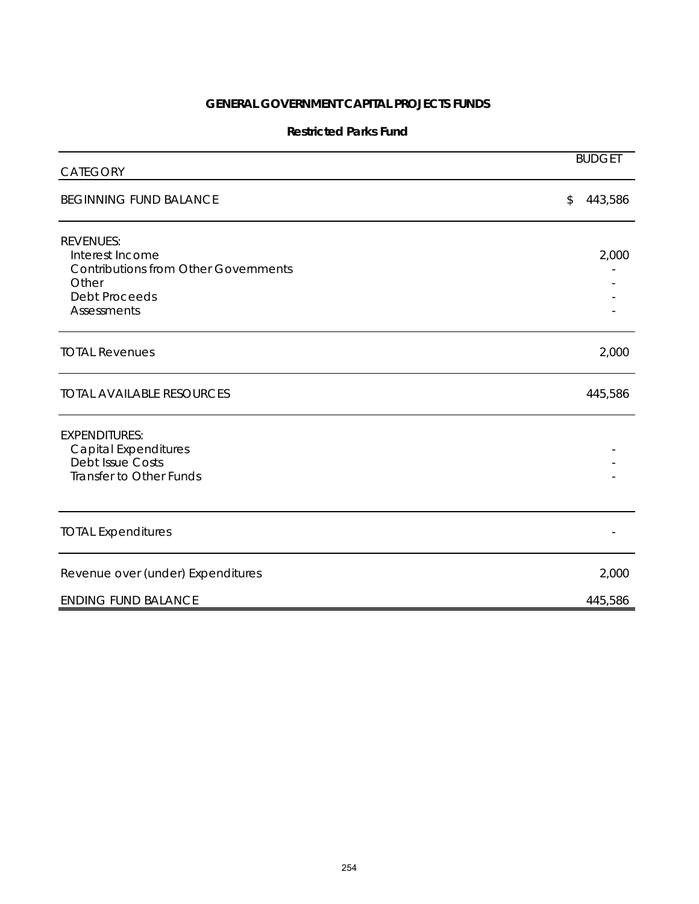### **Restricted Parks Fund**

| CATEGORY                                                                                                                                  | <b>BUDGET</b> |
|-------------------------------------------------------------------------------------------------------------------------------------------|---------------|
| <b>BEGINNING FUND BALANCE</b>                                                                                                             | 443,586<br>\$ |
| <b>REVENUES:</b><br>Interest Income<br><b>Contributions from Other Governments</b><br>Other<br><b>Debt Proceeds</b><br><b>Assessments</b> | 2,000         |
| <b>TOTAL Revenues</b>                                                                                                                     | 2,000         |
| <b>TOTAL AVAILABLE RESOURCES</b>                                                                                                          | 445,586       |
| <b>EXPENDITURES:</b><br><b>Capital Expenditures</b><br><b>Debt Issue Costs</b><br>Transfer to Other Funds                                 |               |
| <b>TOTAL Expenditures</b>                                                                                                                 |               |
| Revenue over (under) Expenditures                                                                                                         | 2,000         |
| <b>ENDING FUND BALANCE</b>                                                                                                                | 445,586       |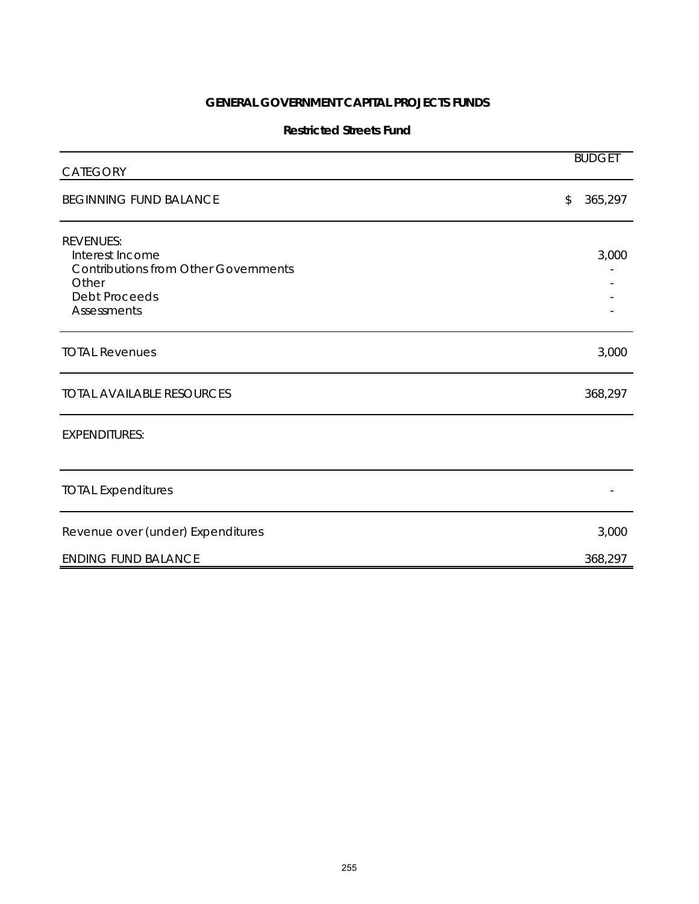#### **Restricted Streets Fund**

| CATEGORY                                                                                                                                  | <b>BUDGET</b> |
|-------------------------------------------------------------------------------------------------------------------------------------------|---------------|
| <b>BEGINNING FUND BALANCE</b>                                                                                                             | 365,297<br>\$ |
| <b>REVENUES:</b><br>Interest Income<br><b>Contributions from Other Governments</b><br>Other<br><b>Debt Proceeds</b><br><b>Assessments</b> | 3,000         |
| <b>TOTAL Revenues</b>                                                                                                                     | 3,000         |
| <b>TOTAL AVAILABLE RESOURCES</b>                                                                                                          | 368,297       |
| <b>EXPENDITURES:</b>                                                                                                                      |               |
| <b>TOTAL Expenditures</b>                                                                                                                 |               |
| Revenue over (under) Expenditures                                                                                                         | 3,000         |
| <b>ENDING FUND BALANCE</b>                                                                                                                | 368,297       |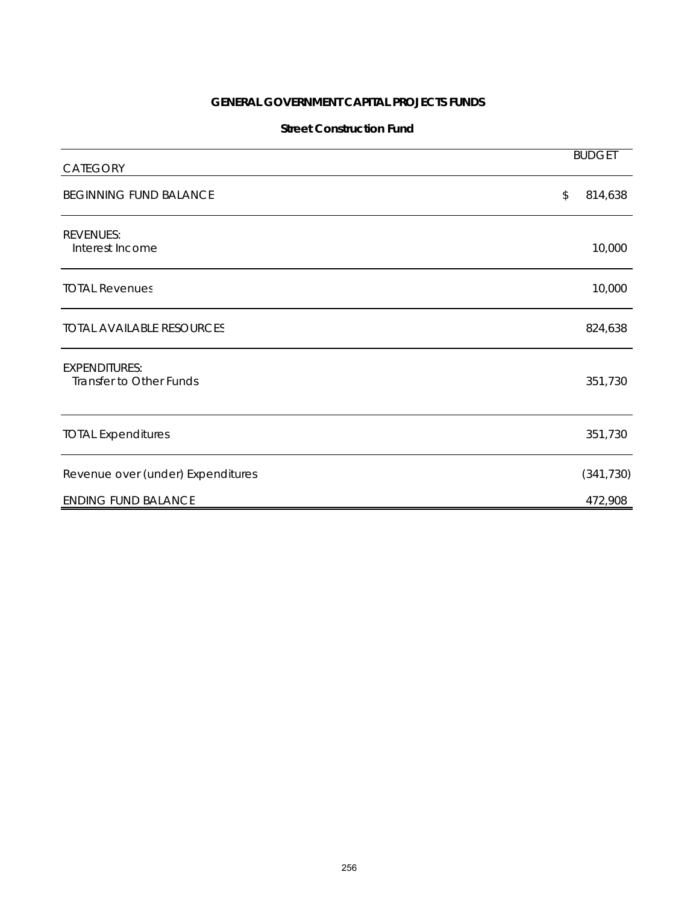### **Street Construction Fund**

| CATEGORY                                        | <b>BUDGET</b>            |
|-------------------------------------------------|--------------------------|
| <b>BEGINNING FUND BALANCE</b>                   | $\mathcal{L}$<br>814,638 |
| <b>REVENUES:</b><br>Interest Income             | 10,000                   |
| <b>TOTAL Revenues</b>                           | 10,000                   |
| <b>TOTAL AVAILABLE RESOURCES</b>                | 824,638                  |
| <b>EXPENDITURES:</b><br>Transfer to Other Funds | 351,730                  |
| <b>TOTAL Expenditures</b>                       | 351,730                  |
| Revenue over (under) Expenditures               | (341, 730)               |
| <b>ENDING FUND BALANCE</b>                      | 472,908                  |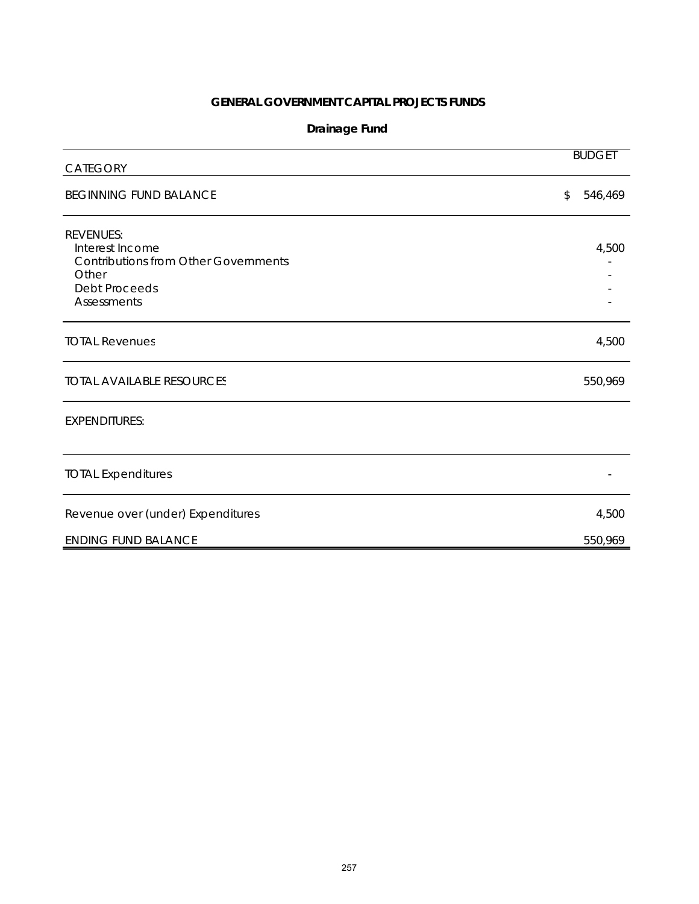# **Drainage Fund**

| CATEGORY                                                                                                                           | <b>BUDGET</b> |
|------------------------------------------------------------------------------------------------------------------------------------|---------------|
| <b>BEGINNING FUND BALANCE</b>                                                                                                      | \$<br>546,469 |
| <b>REVENUES:</b><br>Interest Income<br><b>Contributions from Other Governments</b><br>Other<br><b>Debt Proceeds</b><br>Assessments | 4,500         |
| <b>TOTAL Revenues</b>                                                                                                              | 4,500         |
| <b>TOTAL AVAILABLE RESOURCES</b>                                                                                                   | 550,969       |
| <b>EXPENDITURES:</b>                                                                                                               |               |
| <b>TOTAL Expenditures</b>                                                                                                          |               |
| Revenue over (under) Expenditures                                                                                                  | 4,500         |
| <b>ENDING FUND BALANCE</b>                                                                                                         | 550,969       |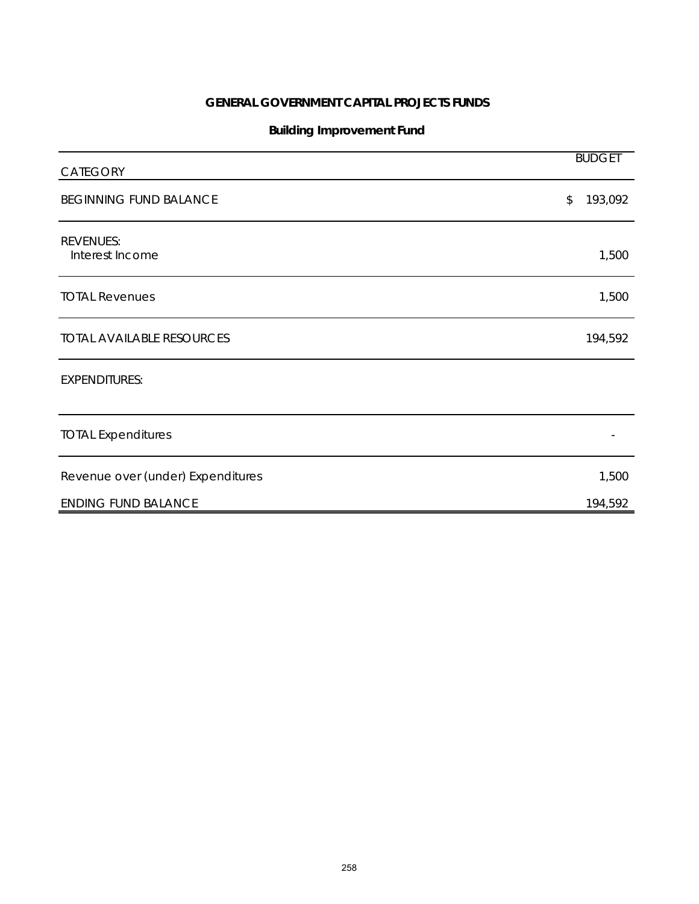# **Building Improvement Fund**

| CATEGORY                            | <b>BUDGET</b> |
|-------------------------------------|---------------|
| <b>BEGINNING FUND BALANCE</b>       | 193,092<br>\$ |
| <b>REVENUES:</b><br>Interest Income | 1,500         |
| <b>TOTAL Revenues</b>               | 1,500         |
| <b>TOTAL AVAILABLE RESOURCES</b>    | 194,592       |
| <b>EXPENDITURES:</b>                |               |
| <b>TOTAL Expenditures</b>           |               |
| Revenue over (under) Expenditures   | 1,500         |
| <b>ENDING FUND BALANCE</b>          | 194,592       |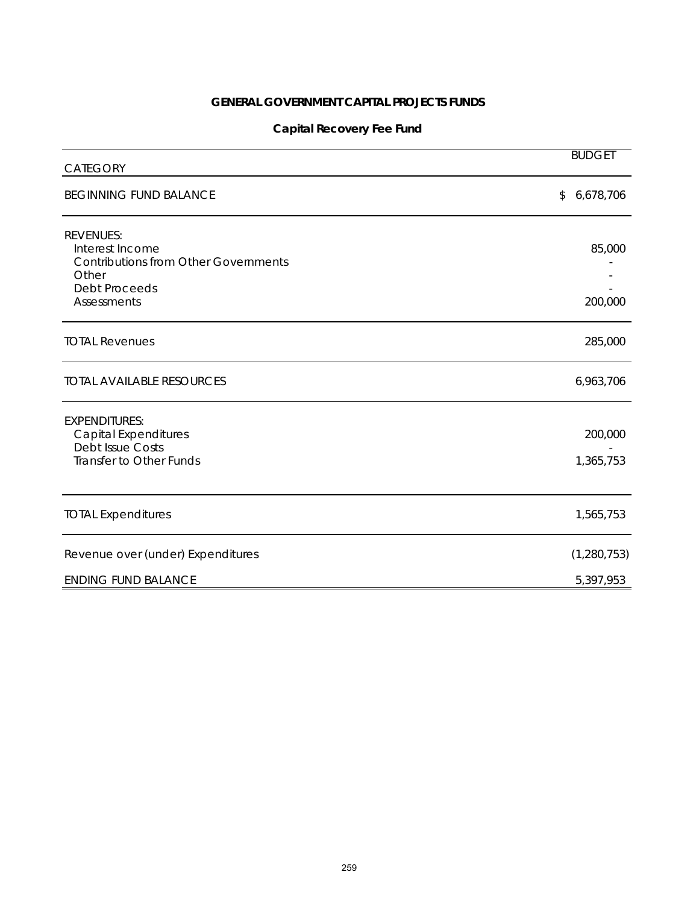# **Capital Recovery Fee Fund**

| <b>CATEGORY</b>                                                                                                     | <b>BUDGET</b>        |
|---------------------------------------------------------------------------------------------------------------------|----------------------|
| <b>BEGINNING FUND BALANCE</b>                                                                                       | 6,678,706<br>\$      |
| <b>REVENUES:</b><br>Interest Income<br><b>Contributions from Other Governments</b><br>Other<br><b>Debt Proceeds</b> | 85,000               |
| Assessments                                                                                                         | 200,000              |
| <b>TOTAL Revenues</b>                                                                                               | 285,000              |
| <b>TOTAL AVAILABLE RESOURCES</b>                                                                                    | 6,963,706            |
| <b>EXPENDITURES:</b><br><b>Capital Expenditures</b><br><b>Debt Issue Costs</b><br>Transfer to Other Funds           | 200,000<br>1,365,753 |
| <b>TOTAL Expenditures</b>                                                                                           | 1,565,753            |
| Revenue over (under) Expenditures                                                                                   | (1, 280, 753)        |
| <b>ENDING FUND BALANCE</b>                                                                                          | 5,397,953            |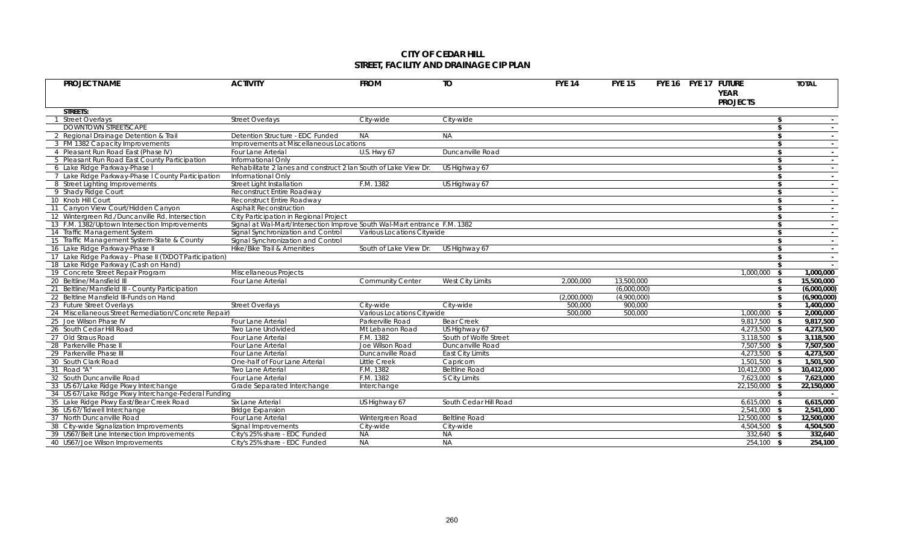### **CITY OF CEDAR HILL STREET, FACILITY AND DRAINAGE CIP PLAN**

| <b>PROJECT NAME</b>                                    | <b>ACTIVITY</b>                                                           | <b>FROM</b>                | $\overline{10}$         | <b>FYE 14</b> | <b>FYE 15</b> | FYE 16 FYE 17 FUTURE | <b>YEAR</b>     |      | <b>TOTAL</b> |
|--------------------------------------------------------|---------------------------------------------------------------------------|----------------------------|-------------------------|---------------|---------------|----------------------|-----------------|------|--------------|
|                                                        |                                                                           |                            |                         |               |               |                      | <b>PROJECTS</b> |      |              |
| STREETS:                                               |                                                                           |                            |                         |               |               |                      |                 |      |              |
| 1 Street Overlays                                      | <b>Street Overlays</b>                                                    | City-wide                  | City-wide               |               |               |                      |                 | \$   |              |
| <b>DOWNTOWN STREETSCAPE</b>                            |                                                                           |                            |                         |               |               |                      |                 | \$   |              |
| 2 Regional Drainage Detention & Trail                  | Detention Structure - EDC Funded                                          | <b>NA</b>                  | <b>NA</b>               |               |               |                      |                 | \$   | $\sim$       |
| 3 FM 1382 Capacity Improvements                        | Improvements at Miscellaneous Locations                                   |                            |                         |               |               |                      |                 | \$   |              |
| 4 Pleasant Run Road East (Phase IV)                    | Four Lane Arterial                                                        | U.S. Hwy 67                | Duncanville Road        |               |               |                      |                 | \$   | $\sim$       |
| 5 Pleasant Run Road East County Participation          | Informational Only                                                        |                            |                         |               |               |                      |                 | \$   | $\sim$       |
| 6 Lake Ridge Parkway-Phase I                           | Rehabilitate 2 lanes and construct 2 lan South of Lake View Dr.           |                            | US Highway 67           |               |               |                      |                 | \$   | $\sim$       |
| 7 Lake Ridge Parkway-Phase I County Participation      | Informational Only                                                        |                            |                         |               |               |                      |                 | \$   |              |
| 8 Street Lighting Improvements                         | Street Light Installation                                                 | F.M. 1382                  | US Highway 67           |               |               |                      |                 | \$   | $\sim$       |
| 9 Shady Ridge Court                                    | Reconstruct Entire Roadway                                                |                            |                         |               |               |                      |                 | \$   | $\sim$       |
| 10 Knob Hill Court                                     | Reconstruct Entire Roadway                                                |                            |                         |               |               |                      |                 | \$   | $\sim$       |
| 11 Canyon View Court/Hidden Canyon                     | <b>Asphalt Reconstruction</b>                                             |                            |                         |               |               |                      |                 | \$   |              |
| 12 Wintergreen Rd./Duncanville Rd. Intersection        | City Participation in Regional Project                                    |                            |                         |               |               |                      |                 | \$   | $\sim$       |
| 13 F.M. 1382/Uptown Intersection Improvements          | Signal at Wal-Mart/Intersection Improve South Wal-Mart entrance F.M. 1382 |                            |                         |               |               |                      |                 | \$   | $\sim$       |
| 14 Traffic Management System                           | Signal Synchronization and Control                                        | Various Locations Citywide |                         |               |               |                      |                 | \$   | $\sim$       |
| 15 Traffic Management System-State & County            | Signal Synchronization and Control                                        |                            |                         |               |               |                      |                 | \$   |              |
| 16 Lake Ridge Parkway-Phase II                         | Hike/Bike Trail & Amenities                                               | South of Lake View Dr.     | US Highway 67           |               |               |                      |                 | \$   | $\sim$       |
| 17 Lake Ridge Parkway - Phase II (TXDOT Participation) |                                                                           |                            |                         |               |               |                      |                 | \$   | $\sim$ $-$   |
| 18 Lake Ridge Parkway (Cash on Hand)                   |                                                                           |                            |                         |               |               |                      |                 | \$   | $\sim$       |
| 19 Concrete Street Repair Program                      | Miscellaneous Projects                                                    |                            |                         |               |               |                      | 1,000,000       | - \$ | 1,000,000    |
| 20 Beltline/Mansfield III                              | Four Lane Arterial                                                        | <b>Community Center</b>    | <b>West City Limits</b> | 2,000,000     | 13,500,000    |                      |                 | - \$ | 15,500,000   |
| 21 Beltline/Mansfield III - County Participation       |                                                                           |                            |                         |               | (6,000,000)   |                      |                 | \$   | (6,000,000)  |
| 22 Beltline Mansfield III-Funds on Hand                |                                                                           |                            |                         | (2,000,000)   | (4,900,000)   |                      |                 | \$   | (6,900,000)  |
| 23 Future Street Overlays                              | <b>Street Overlays</b>                                                    | City-wide                  | City-wide               | 500,000       | 900,000       |                      |                 | - \$ | 1,400,000    |
| 24 Miscellaneous Street Remediation/Concrete Repair)   |                                                                           | Various Locations Citywide |                         | 500,000       | 500,000       |                      | $1,000,000$ \$  |      | 2,000,000    |
| 25 Joe Wilson Phase IV                                 | Four Lane Arterial                                                        | Parkerville Road           | <b>Bear Creek</b>       |               |               |                      | 9,817,500 \$    |      | 9,817,500    |
| 26 South Cedar Hill Road                               | Two Lane Undivided                                                        | Mt Lebanon Road            | US Highway 67           |               |               |                      | 4,273,500 \$    |      | 4,273,500    |
| 27 Old Straus Road                                     | Four Lane Arterial                                                        | F.M. 1382                  | South of Wolfe Street   |               |               |                      | 3,118,500 \$    |      | 3,118,500    |
| 28 Parkerville Phase II                                | Four Lane Arterial                                                        | Joe Wilson Road            | Duncanville Road        |               |               |                      | 7,507,500 \$    |      | 7,507,500    |
| 29 Parkerville Phase III                               | Four Lane Arterial                                                        | Duncanville Road           | <b>East City Limits</b> |               |               |                      | 4,273,500 \$    |      | 4,273,500    |
| 30 South Clark Road                                    | One-half of Four Lane Arterial                                            | <b>Little Creek</b>        | Capricorn               |               |               |                      | 1,501,500 \$    |      | 1,501,500    |
| 31 Road "A"                                            | Two Lane Arterial                                                         | F.M. 1382                  | <b>Beltline Road</b>    |               |               |                      | 10,412,000 \$   |      | 10,412,000   |
| 32 South Duncanville Road                              | Four Lane Arterial                                                        | F.M. 1382                  | S City Limits           |               |               |                      | 7.623.000 \$    |      | 7,623,000    |
| 33 US 67/Lake Ridge Pkwy Interchange                   | Grade Separated Interchange                                               | Interchange                |                         |               |               |                      | 22,150,000 \$   |      | 22,150,000   |
| 34 US 67/Lake Ridge Pkwy Interchange-Federal Funding   |                                                                           |                            |                         |               |               |                      |                 | - \$ | $\sim$       |
| 35 Lake Ridge Pkwy East/Bear Creek Road                | Six Lane Arterial                                                         | US Highway 67              | South Cedar Hill Road   |               |               |                      | $6,615,000$ \$  |      | 6,615,000    |
| 36 US 67/Tidwell Interchange                           | <b>Bridge Expansion</b>                                                   |                            |                         |               |               |                      | 2.541.000 \$    |      | 2,541,000    |
| 37 North Duncanville Road                              | Four Lane Arterial                                                        | Wintergreen Road           | <b>Beltline Road</b>    |               |               |                      | 12.500.000 \$   |      | 12,500,000   |
| 38 City-wide Signalization Improvements                | Signal Improvements                                                       | City-wide                  | City-wide               |               |               |                      | 4.504.500 \$    |      | 4,504,500    |
| 39 US67/Belt Line Intersection Improvements            | City's 25% share - EDC Funded                                             | <b>NA</b>                  | <b>NA</b>               |               |               |                      | 332,640 \$      |      | 332,640      |
| 40 US67/Joe Wilson Improvements                        | City's 25% share - EDC Funded                                             | <b>NA</b>                  | NA                      |               |               |                      | 254,100 \$      |      | 254,100      |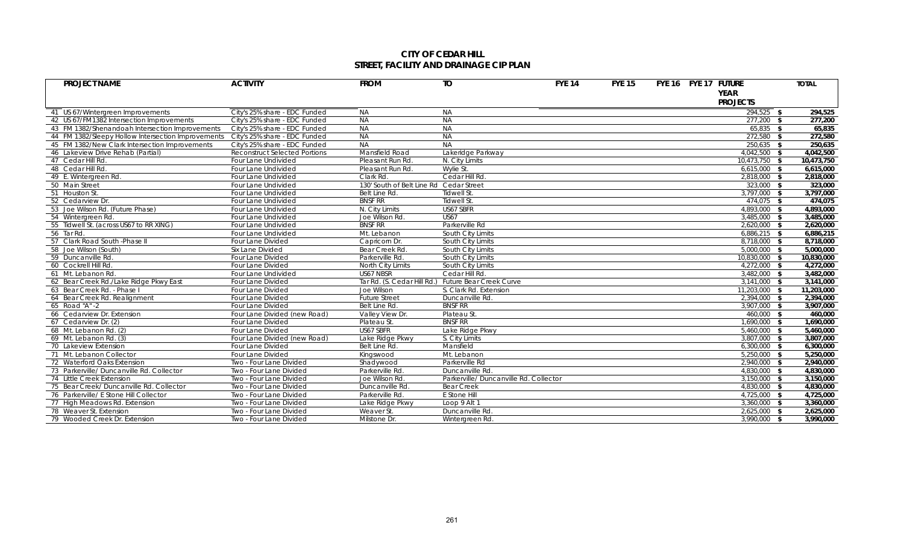### **CITY OF CEDAR HILL STREET, FACILITY AND DRAINAGE CIP PLAN**

| <b>PROJECT NAME</b>                                | <b>ACTIVITY</b>                      | <b>FROM</b>                             | <b>TO</b>                              | <b>FYE 14</b> | <b>FYE 15</b> | FYE 16 FYE 17 FUTURE |      | <b>TOTAL</b>       |
|----------------------------------------------------|--------------------------------------|-----------------------------------------|----------------------------------------|---------------|---------------|----------------------|------|--------------------|
|                                                    |                                      |                                         |                                        |               |               | <b>YEAR</b>          |      |                    |
|                                                    |                                      |                                         |                                        |               |               | <b>PROJECTS</b>      |      |                    |
|                                                    |                                      | <b>NA</b>                               | <b>NA</b>                              |               |               | $294,525$ \$         |      |                    |
| 41 US 67/Wintergreen Improvements                  | City's 25% share - EDC Funded        | <b>NA</b>                               |                                        |               |               |                      |      | 294,525<br>277,200 |
| 42 US 67/FM1382 Intersection Improvements          | City's 25% share - EDC Funded        | <b>NA</b>                               | <b>NA</b>                              |               |               | 277,200 \$           |      |                    |
| 43 FM 1382/Shenandoah Intersection Improvements    | City's 25% share - EDC Funded        |                                         | <b>NA</b>                              |               |               | $65,835$ \$          |      | 65,835             |
| 44 FM 1382/Sleepy Hollow Intersection Improvements | City's 25% share - EDC Funded        | <b>NA</b><br><b>NA</b>                  | <b>NA</b><br><b>NA</b>                 |               |               | 272,580              | - \$ | 272,580            |
| 45 FM 1382/New Clark Intersection Improvements     | City's 25% share - EDC Funded        |                                         |                                        |               |               | $250,635$ \$         |      | 250,635            |
| 46 Lakeview Drive Rehab (Partial)                  | <b>Reconstruct Selected Portions</b> | Mansfield Road                          | Lakeridge Parkway                      |               |               | 4,042,500            | - \$ | 4,042,500          |
| 47 Cedar Hill Rd.                                  | Four Lane Undivided                  | Pleasant Run Rd.                        | N. City Limits                         |               |               | 10,473,750 \$        |      | 10,473,750         |
| 48 Cedar Hill Rd.                                  | Four Lane Undivided                  | Pleasant Run Rd.                        | Wylie St.                              |               |               | 6.615.000            | - \$ | 6,615,000          |
| 49 E. Wintergreen Rd.                              | Four Lane Undivided                  | Clark Rd.                               | Cedar Hill Rd                          |               |               | 2,818,000 \$         |      | 2,818,000          |
| 50 Main Street                                     | Four Lane Undivided                  | 130' South of Belt Line Rd Cedar Street |                                        |               |               | $323,000$ \$         |      | 323,000            |
| 51 Houston St.                                     | Four Lane Undivided                  | Belt Line Rd.                           | Tidwell St.                            |               |               | $3,797,000$ \$       |      | 3,797,000          |
| 52 Cedarview Dr.                                   | Four Lane Undivided                  | <b>BNSF RR</b>                          | Tidwell St.                            |               |               | 474,075 \$           |      | 474,075            |
| 53 Joe Wilson Rd. (Future Phase)                   | Four Lane Undivided                  | N. City Limits                          | US67 SBFR                              |               |               | 4,893,000 \$         |      | 4,893,000          |
| 54 Wintergreen Rd.                                 | Four Lane Undivided                  | Joe Wilson Rd.                          | <b>US67</b>                            |               |               | 3,485,000            | - \$ | 3,485,000          |
| 55 Tidwell St. (across US67 to RR XING)            | Four Lane Undivided                  | <b>BNSF RR</b>                          | Parkerville Rd                         |               |               | 2,620,000 \$         |      | 2,620,000          |
| 56 Tar Rd.                                         | Four Lane Undivided                  | Mt. Lebanon                             | South City Limits                      |               |               | $6,886,215$ \$       |      | 6,886,215          |
| 57 Clark Road South - Phase II                     | Four Lane Divided                    | Capricorn Dr.                           | South City Limits                      |               |               | 8.718.000 \$         |      | 8,718,000          |
| 58 Joe Wilson (South)                              | Six Lane Divided                     | <b>Bear Creek Rd</b>                    | South City Limits                      |               |               | 5,000,000 \$         |      | 5,000,000          |
| 59 Duncanville Rd.                                 | Four Lane Divided                    | Parkerville Rd.                         | South City Limits                      |               |               | 10,830,000 \$        |      | 10,830,000         |
| 60 Cockrell Hill Rd.                               | Four Lane Divided                    | North City Limits                       | South City Limits                      |               |               | 4,272,000            | - \$ | 4,272,000          |
| 61 Mt. Lebanon Rd.                                 | Four Lane Undivided                  | US67 NBSR                               | Cedar Hill Rd                          |               |               | $3,482,000$ \$       |      | 3,482,000          |
| 62 Bear Creek Rd./Lake Ridge Pkwy East             | Four Lane Divided                    | Tar Rd. (S. Cedar Hill Rd.)             | <b>Future Bear Creek Curve</b>         |               |               | 3,141,000            | - \$ | 3,141,000          |
| 63 Bear Creek Rd. - Phase I                        | Four Lane Divided                    | Joe Wilson                              | S. Clark Rd. Extension                 |               |               | 11,203,000           | - \$ | 11,203,000         |
| 64 Bear Creek Rd. Realignment                      | Four Lane Divided                    | <b>Future Street</b>                    | Duncanville Rd.                        |               |               | 2,394,000            | - \$ | 2,394,000          |
| 65 Road "A" -2                                     | Four Lane Divided                    | Belt Line Rd.                           | <b>BNSF RR</b>                         |               |               | $3.907.000$ \$       |      | 3,907,000          |
| 66 Cedarview Dr. Extension                         | Four Lane Divided (new Road)         | Valley View Dr.                         | Plateau St.                            |               |               | $460,000$ \$         |      | 460,000            |
| 67 Cedarview Dr. (2)                               | Four Lane Divided                    | Plateau St                              | <b>BNSF RR</b>                         |               |               | 1,690,000 \$         |      | 1,690,000          |
| 68 Mt. Lebanon Rd. (2)                             | Four Lane Divided                    | US67 SBFR                               | Lake Ridge Pkwy                        |               |               | 5,460,000            | - \$ | 5,460,000          |
| 69 Mt. Lebanon Rd. (3)                             | Four Lane Divided (new Road)         | Lake Ridge Pkwy                         | S. City Limits                         |               |               | 3,807,000            | - \$ | 3,807,000          |
| 70 Lakeview Extension                              | Four Lane Divided                    | <b>Belt Line Rd</b>                     | Mansfield                              |               |               | $6,300,000$ \$       |      | 6,300,000          |
| 71 Mt. Lebanon Collector                           | Four Lane Divided                    | Kingswood                               | Mt. Lebanon                            |               |               | $5,250,000$ \$       |      | 5,250,000          |
| 72 Waterford Oaks Extension                        | Two - Four Lane Divided              | Shadywood                               | Parkerville Rd                         |               |               | 2,940,000 \$         |      | 2,940,000          |
| 73 Parkerville/ Duncanville Rd. Collector          | Two - Four Lane Divided              | Parkerville Rd.                         | Duncanville Rd.                        |               |               | 4,830,000 \$         |      | 4,830,000          |
| 74 Little Creek Extension                          | Two - Four Lane Divided              | Joe Wilson Rd.                          | Parkerville/ Duncanville Rd. Collector |               |               | $3,150,000$ \$       |      | 3,150,000          |
| 75 Bear Creek/ Duncanville Rd. Collector           | Two - Four Lane Divided              | Duncanville Rd.                         | <b>Bear Creek</b>                      |               |               | 4,830,000 \$         |      | 4,830,000          |
| 76 Parkerville/ E Stone Hill Collector             | Two - Four Lane Divided              | Parkerville Rd.                         | E Stone Hill                           |               |               | 4,725,000            | - \$ | 4,725,000          |
| 77 High Meadows Rd. Extension                      | Two - Four Lane Divided              | Lake Ridge Pkwy                         | Loop 9 Alt 1                           |               |               | 3,360,000            | - \$ | 3.360.000          |
| 78 Weaver St. Extension                            | Two - Four Lane Divided              | Weaver St.                              | Duncanville Rd.                        |               |               | 2,625,000 \$         |      | 2,625,000          |
| 79 Wooded Creek Dr. Extension                      | Two - Four Lane Divided              | Milstone Dr.                            | Wintergreen Rd.                        |               |               | 3.990.000 \$         |      | 3.990.000          |